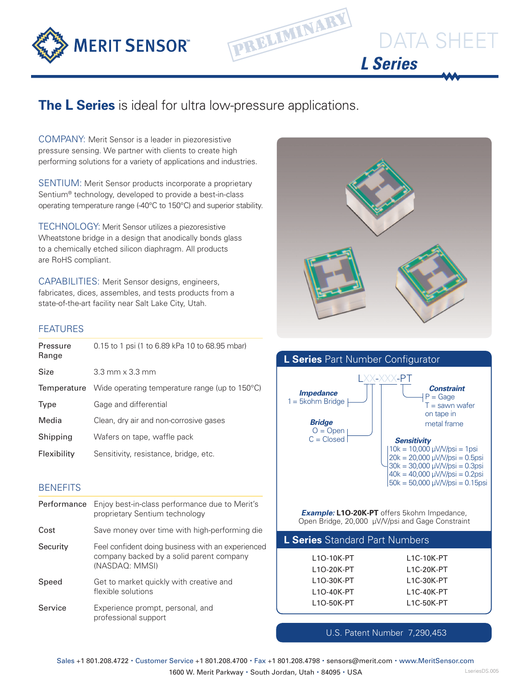



## **The L Series** is ideal for ultra low-pressure applications.

COMPANY: Merit Sensor is a leader in piezoresistive pressure sensing. We partner with clients to create high performing solutions for a variety of applications and industries.

SENTIUM: Merit Sensor products incorporate a proprietary Sentium® technology, developed to provide a best-in-class operating temperature range (-40°C to 150°C) and superior stability.

TECHNOLOGY: Merit Sensor utilizes a piezoresistive Wheatstone bridge in a design that anodically bonds glass to a chemically etched silicon diaphragm. All products are RoHS compliant.

CAPABILITIES: Merit Sensor designs, engineers, fabricates, dices, assembles, and tests products from a state-of-the-art facility near Salt Lake City, Utah.

#### FEATURES

| Pressure<br>Range | 0.15 to 1 psi (1 to 6.89 kPa 10 to 68.95 mbar) |
|-------------------|------------------------------------------------|
| Size              | $3.3$ mm $\times$ $3.3$ mm                     |
| Temperature       | Wide operating temperature range (up to 150°C) |
| Type              | Gage and differential                          |
| Media             | Clean, dry air and non-corrosive gases         |
| Shipping          | Wafers on tape, waffle pack                    |
| Flexibility       | Sensitivity, resistance, bridge, etc.          |

### **BENEFITS**

| Performance | Enjoy best-in-class performance due to Merit's<br>proprietary Sentium technology                                |
|-------------|-----------------------------------------------------------------------------------------------------------------|
| Cost        | Save money over time with high-performing die                                                                   |
| Security    | Feel confident doing business with an experienced<br>company backed by a solid parent company<br>(NASDAQ: MMSI) |
| Speed       | Get to market quickly with creative and<br>flexible solutions                                                   |
| Service     | Experience prompt, personal, and<br>professional support                                                        |



DATA SHEET



*Example:* **L1O-20K-PT** offers 5kohm Impedance, Open Bridge, 20,000 µV/V/psi and Gage Constraint

| L Series Standard Part Numbers |                         |  |  |  |  |  |
|--------------------------------|-------------------------|--|--|--|--|--|
| L <sub>10</sub> -10K-PT        | L <sub>1</sub> C-10K-PT |  |  |  |  |  |
| 110-20K-PT                     | L1C-20K-PT              |  |  |  |  |  |
| L <sub>10</sub> -30K-PT        | L <sub>1</sub> C-30K-PT |  |  |  |  |  |
| L1O-40K-PT                     | L <sub>1</sub> C-40K-PT |  |  |  |  |  |
| L <sub>10</sub> -50K-PT        | L <sub>1</sub> C-50K-PT |  |  |  |  |  |
|                                |                         |  |  |  |  |  |

U.S. Patent Number 7,290,453

Sales +1 801.208.4722 · Customer Service +1 801.208.4700 · Fax +1 801.208.4798 · sensors@merit.com · www.MeritSensor.com